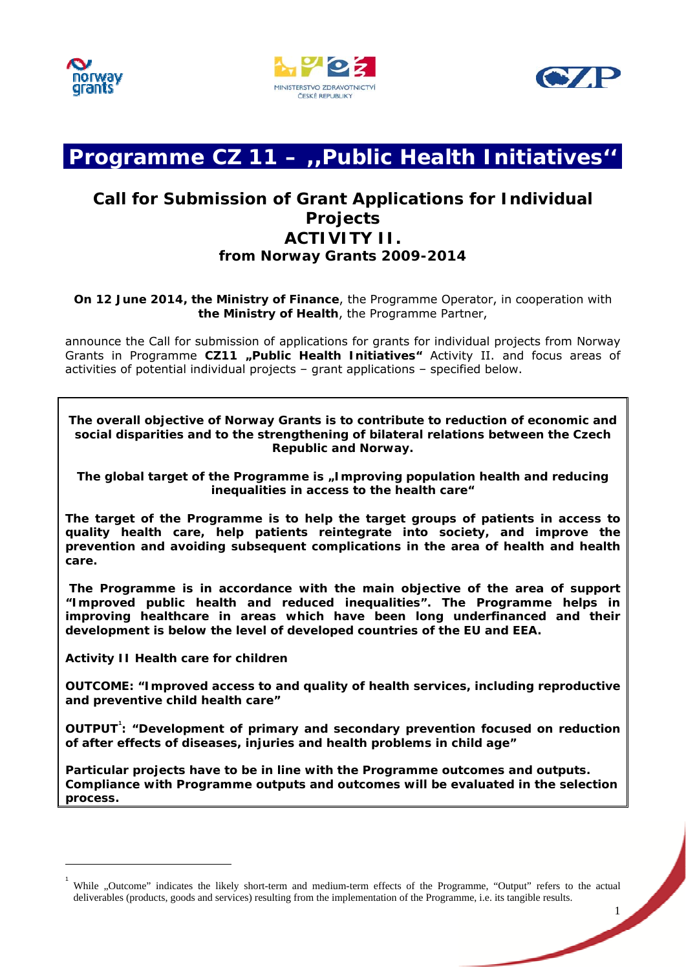





# **Programme CZ 11 – ,,Public Health Initiatives''**

## **Call for Submission of Grant Applications for Individual Projects ACTIVITY II. from Norway Grants 2009-2014**

**On 12 June 2014, the Ministry of Finance**, the Programme Operator, in cooperation with **the Ministry of Health**, the Programme Partner,

announce the Call for submission of applications for grants for individual projects from Norway Grants in Programme CZ11 "Public Health Initiatives" Activity II. and focus areas of activities of potential individual projects – grant applications – specified below.

**The overall objective of Norway Grants is to contribute to reduction of economic and social disparities and to the strengthening of bilateral relations between the Czech Republic and Norway.** 

The global target of the Programme is "Improving population health and reducing **inequalities in access to the health care"** 

**The target of the Programme is to help the target groups of patients in access to quality health care, help patients reintegrate into society, and improve the prevention and avoiding subsequent complications in the area of health and health care.** 

 **The Programme is in accordance with the main objective of the area of support "Improved public health and reduced inequalities". The Programme helps in improving healthcare in areas which have been long underfinanced and their development is below the level of developed countries of the EU and EEA.** 

**Activity II Health care for children** 

 $\overline{a}$ 

**OUTCOME: "Improved access to and quality of health services, including reproductive and preventive child health care"** 

**OUTPUT<sup>1</sup> : "Development of primary and secondary prevention focused on reduction of after effects of diseases, injuries and health problems in child age"** 

**Particular projects have to be in line with the Programme outcomes and outputs. Complia[n](#page-0-0)ce with Programme outputs and outcomes will be evaluated in the selection process.** 

<span id="page-0-0"></span><sup>1</sup> While "Outcome" indicates the likely short-term and medium-term effects of the Programme, "Output" refers to the actual deliverables (products, goods and services) resulting from the implementation of the Programme, i.e. its tangible results.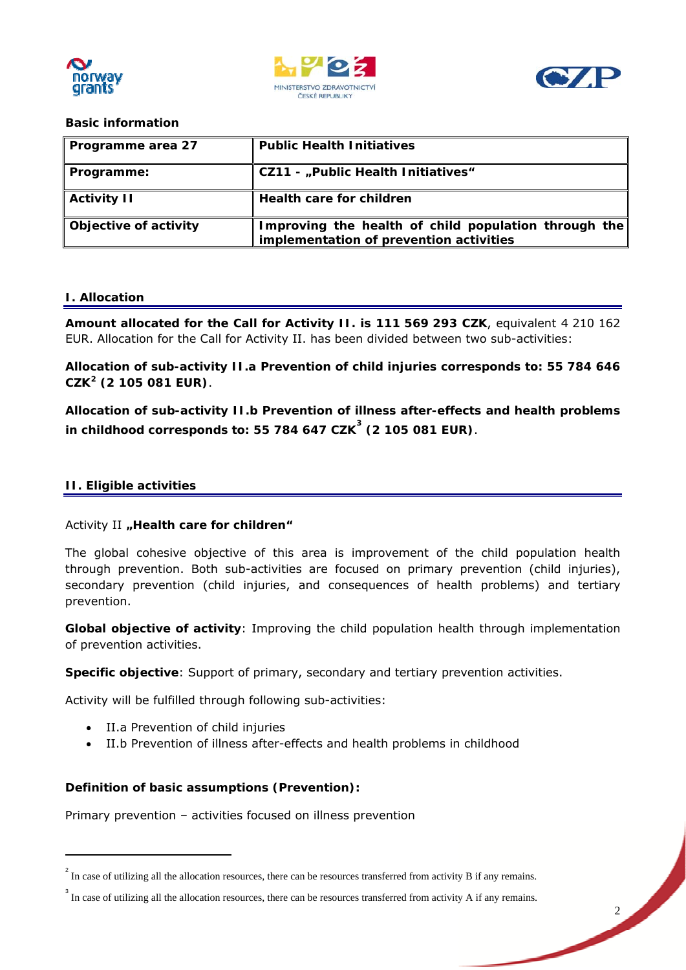





### **Basic information**

| Programme area 27     | <b>Public Health Initiatives</b>                                                                |
|-----------------------|-------------------------------------------------------------------------------------------------|
| Programme:            | <b>CZ11 - "Public Health Initiatives"</b>                                                       |
| <b>Activity II</b>    | Health care for children                                                                        |
| Objective of activity | Improving the health of child population through the<br>implementation of prevention activities |

### **I. Allocation**

**Amount allocated for the Call for Activity II. is 111 569 293 CZK**, equivalent 4 210 162 EUR. Allocation for the Call for Activity II. has been divided between two sub-activities:

**Allocation of sub-activity II.a Prevention of child injuries corresponds to: 55 784 646 CZK2 (2 105 081 EUR)**.

**Allocation of sub-activity II.b Prevention of illness after-effects and health problems in c[hi](#page-1-0)ldhood corresponds to: 55 784 647 CZK 3 (2 105 081 EUR)**.

### **II. Eligible activities**

 $\overline{a}$ 

### Activity II "Health care for children"

The global cohesive objective of this area is improvement of the child population health through prevention. Both sub-activities are focused on primary prevention (child injuries), secondary prevention (child injuries, and consequences of health problems) and tertiary prevention.

**Global objective of activity**: Improving the child population health through implementation of prevention activities.

**Specific objective**: Support of primary, secondary and tertiary prevention activities.

Activity will be fulfilled through following sub-activities:

- II.a Prevention of child injuries
- II.b Prevention of illness after-effects and health problems in childhood

### **Definition of basic assumptions (Prevention):**

Primary prevention – activities focused on illness prevention

 $2<sup>2</sup>$  In case of utilizing all the allocation resources, there can be resources transferred from activity B if any remains.

<span id="page-1-0"></span><sup>&</sup>lt;sup>3</sup> In case of utilizing all the allocation resources, there can be resources transferred from activity A if any remains.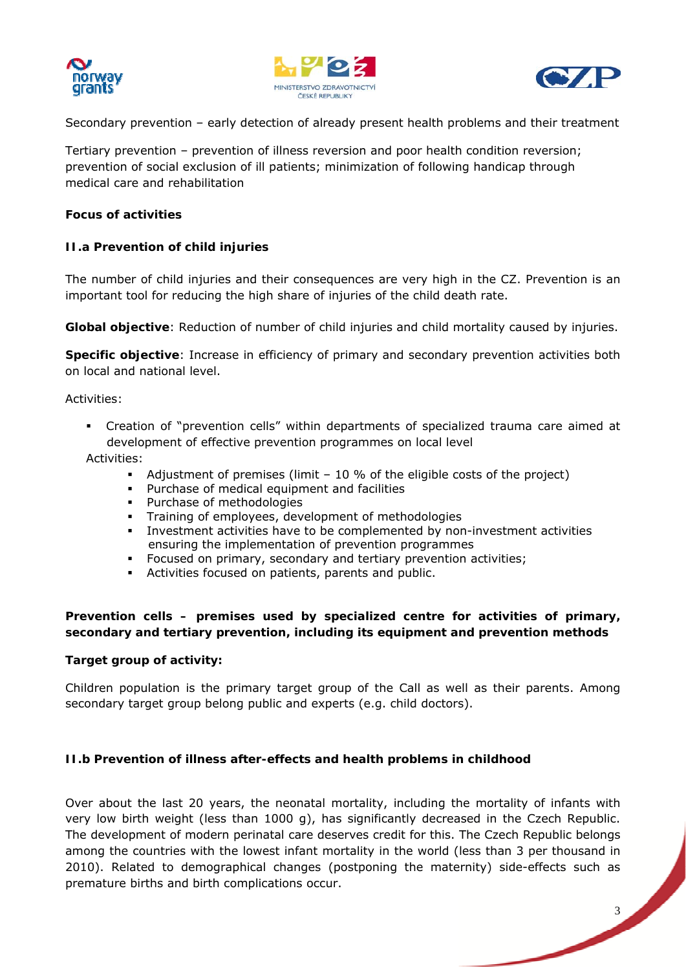





Secondary prevention – early detection of already present health problems and their treatment

Tertiary prevention – prevention of illness reversion and poor health condition reversion; prevention of social exclusion of ill patients; minimization of following handicap through medical care and rehabilitation

### **Focus of activities**

### **II.a Prevention of child injuries**

The number of child injuries and their consequences are very high in the CZ. Prevention is an important tool for reducing the high share of injuries of the child death rate.

**Global objective**: Reduction of number of child injuries and child mortality caused by injuries.

**Specific objective**: Increase in efficiency of primary and secondary prevention activities both on local and national level.

Activities:

 Creation of "prevention cells" within departments of specialized trauma care aimed at development of effective prevention programmes on local level

Activities:

- Adjustment of premises (limit  $-10\%$  of the eligible costs of the project)
- Purchase of medical equipment and facilities
- Purchase of methodologies
- **Training of employees, development of methodologies**
- Investment activities have to be complemented by non-investment activities ensuring the implementation of prevention programmes
- **Focused on primary, secondary and tertiary prevention activities;**
- Activities focused on patients, parents and public.

### **Prevention cells – premises used by specialized centre for activities of primary, secondary and tertiary prevention, including its equipment and prevention methods**

### **Target group of activity:**

Children population is the primary target group of the Call as well as their parents. Among secondary target group belong public and experts (e.g. child doctors).

### **II.b Prevention of illness after-effects and health problems in childhood**

Over about the last 20 years, the neonatal mortality, including the mortality of infants with very low birth weight (less than 1000 g), has significantly decreased in the Czech Republic. The development of modern perinatal care deserves credit for this. The Czech Republic belongs among the countries with the lowest infant mortality in the world (less than 3 per thousand in 2010). Related to demographical changes (postponing the maternity) side-effects such as premature births and birth complications occur.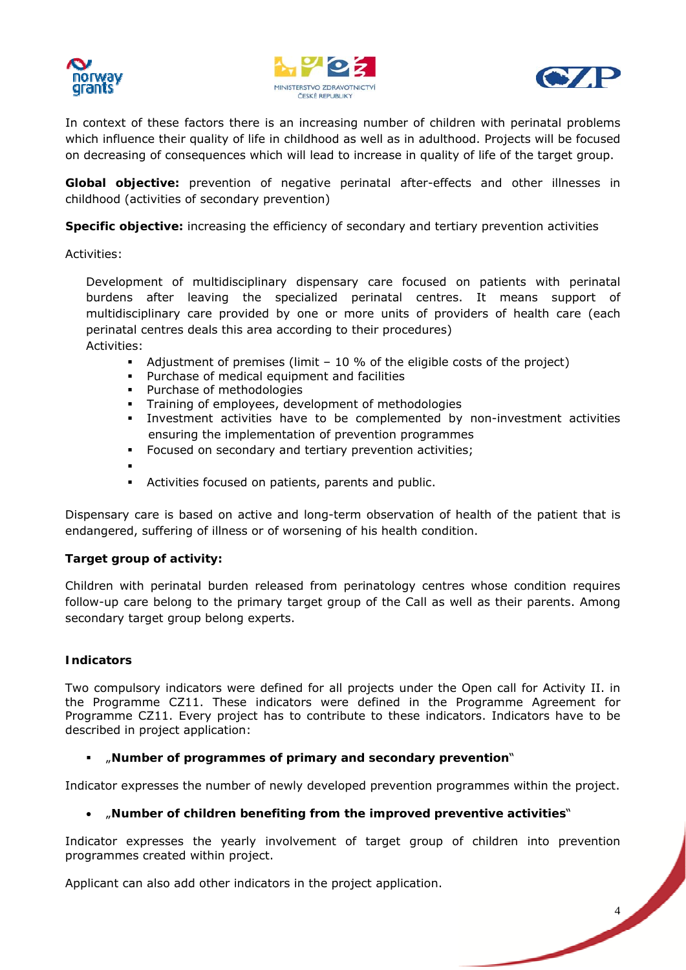





In context of these factors there is an increasing number of children with perinatal problems which influence their quality of life in childhood as well as in adulthood. Projects will be focused on decreasing of consequences which will lead to increase in quality of life of the target group.

**Global objective:** prevention of negative perinatal after-effects and other illnesses in childhood (activities of secondary prevention)

**Specific objective:** increasing the efficiency of secondary and tertiary prevention activities

Activities:

Development of multidisciplinary dispensary care focused on patients with perinatal burdens after leaving the specialized perinatal centres. It means support of multidisciplinary care provided by one or more units of providers of health care (each perinatal centres deals this area according to their procedures) Activities:

- Adjustment of premises (limit  $-10\%$  of the eligible costs of the project)
- **Purchase of medical equipment and facilities**
- **Purchase of methodologies**
- Training of employees, development of methodologies
- Investment activities have to be complemented by non-investment activities ensuring the implementation of prevention programmes
- Focused on secondary and tertiary prevention activities;
- .
- Activities focused on patients, parents and public.

Dispensary care is based on active and long-term observation of health of the patient that is endangered, suffering of illness or of worsening of his health condition.

### **Target group of activity:**

Children with perinatal burden released from perinatology centres whose condition requires follow-up care belong to the primary target group of the Call as well as their parents. Among secondary target group belong experts.

### **Indicators**

Two compulsory indicators were defined for all projects under the Open call for Activity II. in the Programme CZ11. These indicators were defined in the Programme Agreement for Programme CZ11. Every project has to contribute to these indicators. Indicators have to be described in project application:

### "**Number of programmes of primary and secondary prevention**"

Indicator expresses the number of newly developed prevention programmes within the project.

### "**Number of children benefiting from the improved preventive activities**"

Indicator expresses the yearly involvement of target group of children into prevention programmes created within project.

Applicant can also add other indicators in the project application.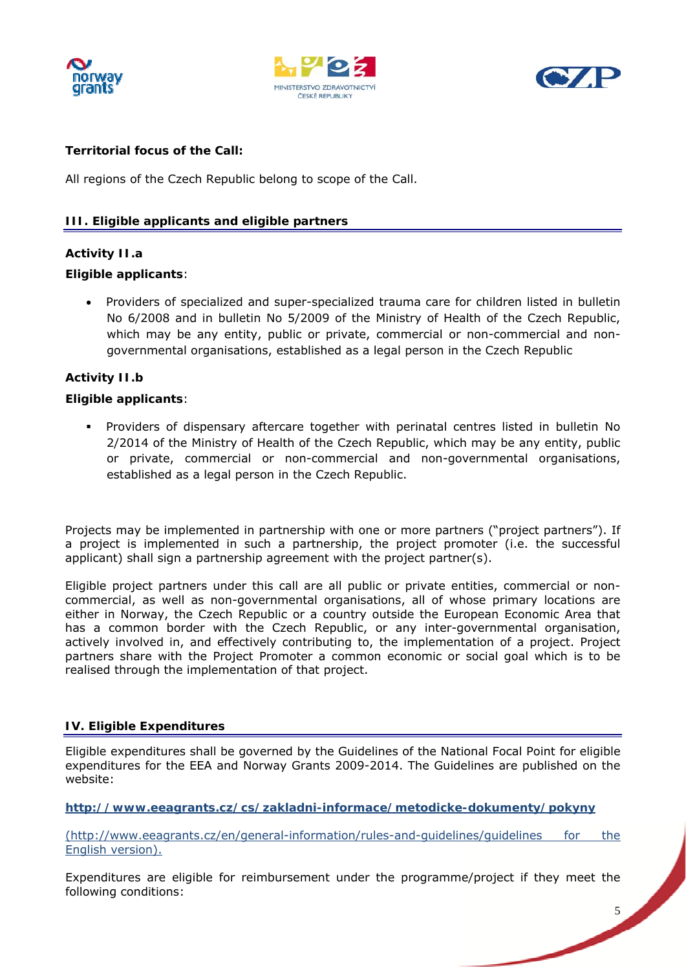





### **Territorial focus of the Call:**

All regions of the Czech Republic belong to scope of the Call.

### **III. Eligible applicants and eligible partners**

### **Activity II.a**

### **Eligible applicants**:

• Providers of specialized and super-specialized trauma care for children listed in bulletin No 6/2008 and in bulletin No 5/2009 of the Ministry of Health of the Czech Republic, which may be any entity, public or private, commercial or non-commercial and nongovernmental organisations, established as a legal person in the Czech Republic

### **Activity II.b**

### **Eligible applicants**:

 Providers of dispensary aftercare together with perinatal centres listed in bulletin No 2/2014 of the Ministry of Health of the Czech Republic, which may be any entity, public or private, commercial or non-commercial and non-governmental organisations, established as a legal person in the Czech Republic.

Projects may be implemented in partnership with one or more partners ("project partners"). If a project is implemented in such a partnership, the project promoter (i.e. the successful applicant) shall sign a partnership agreement with the project partner(s).

Eligible project partners under this call are all public or private entities, commercial or noncommercial, as well as non-governmental organisations, all of whose primary locations are either in Norway, the Czech Republic or a country outside the European Economic Area that has a common border with the Czech Republic, or any inter-governmental organisation, actively involved in, and effectively contributing to, the implementation of a project. Project partners share with the Project Promoter a common economic or social goal which is to be realised through the implementation of that project.

### **IV. Eligible Expenditures**

Eligible expenditures shall be governed by the Guidelines of the National Focal Point for eligible expenditures for the EEA and Norway Grants 2009-2014. The Guidelines are published on the website:

**http://www.eeagrants.cz/cs/zakladni-informace/metodicke-dokumenty/pokyny**

(http://www.eeagrants.cz/en/general-information/rules-and-guidelines/guidelines for the English version).

Expenditures are eligible for reimbursement under the programme/project if they meet the following conditions: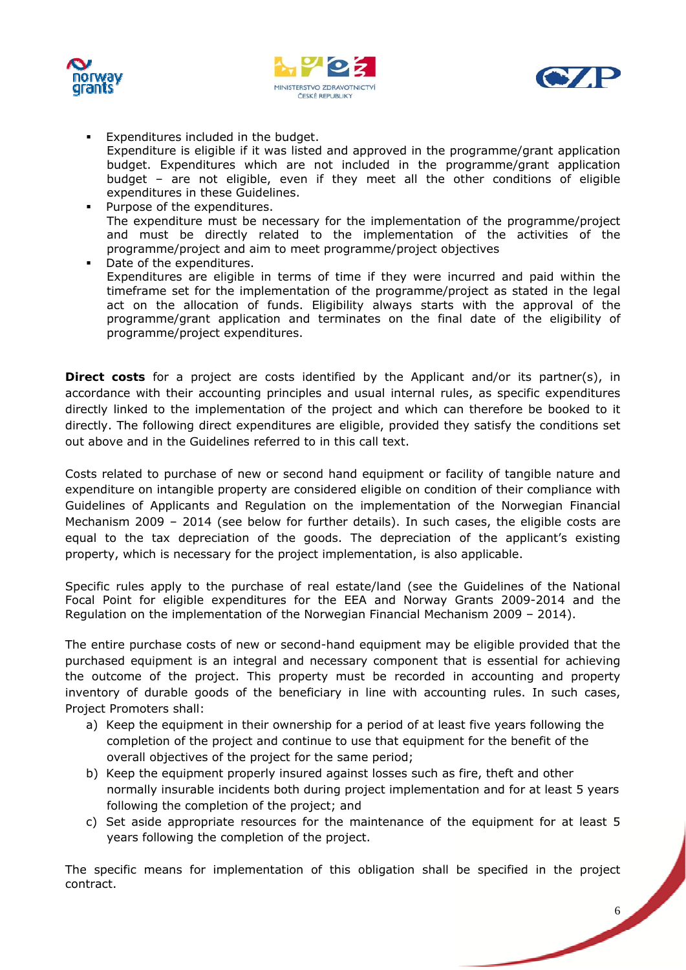





- **Expenditures included in the budget.** Expenditure is eligible if it was listed and approved in the programme/grant application budget. Expenditures which are not included in the programme/grant application budget – are not eligible, even if they meet all the other conditions of eligible expenditures in these Guidelines.
- Purpose of the expenditures. The expenditure must be necessary for the implementation of the programme/project and must be directly related to the implementation of the activities of the programme/project and aim to meet programme/project objectives
- Date of the expenditures. Expenditures are eligible in terms of time if they were incurred and paid within the timeframe set for the implementation of the programme/project as stated in the legal act on the allocation of funds. Eligibility always starts with the approval of the programme/grant application and terminates on the final date of the eligibility of programme/project expenditures.

**Direct costs** for a project are costs identified by the Applicant and/or its partner(s), in accordance with their accounting principles and usual internal rules, as specific expenditures directly linked to the implementation of the project and which can therefore be booked to it directly. The following direct expenditures are eligible, provided they satisfy the conditions set out above and in the Guidelines referred to in this call text.

Costs related to purchase of new or second hand equipment or facility of tangible nature and expenditure on intangible property are considered eligible on condition of their compliance with Guidelines of Applicants and Regulation on the implementation of the Norwegian Financial Mechanism 2009 – 2014 (see below for further details). In such cases, the eligible costs are equal to the tax depreciation of the goods. The depreciation of the applicant's existing property, which is necessary for the project implementation, is also applicable.

Specific rules apply to the purchase of real estate/land (see the Guidelines of the National Focal Point for eligible expenditures for the EEA and Norway Grants 2009-2014 and the Regulation on the implementation of the Norwegian Financial Mechanism 2009 – 2014).

The entire purchase costs of new or second-hand equipment may be eligible provided that the purchased equipment is an integral and necessary component that is essential for achieving the outcome of the project. This property must be recorded in accounting and property inventory of durable goods of the beneficiary in line with accounting rules. In such cases, Project Promoters shall:

- a) Keep the equipment in their ownership for a period of at least five years following the completion of the project and continue to use that equipment for the benefit of the overall objectives of the project for the same period;
- b) Keep the equipment properly insured against losses such as fire, theft and other normally insurable incidents both during project implementation and for at least 5 years following the completion of the project; and
- c) Set aside appropriate resources for the maintenance of the equipment for at least 5 years following the completion of the project.

The specific means for implementation of this obligation shall be specified in the project contract.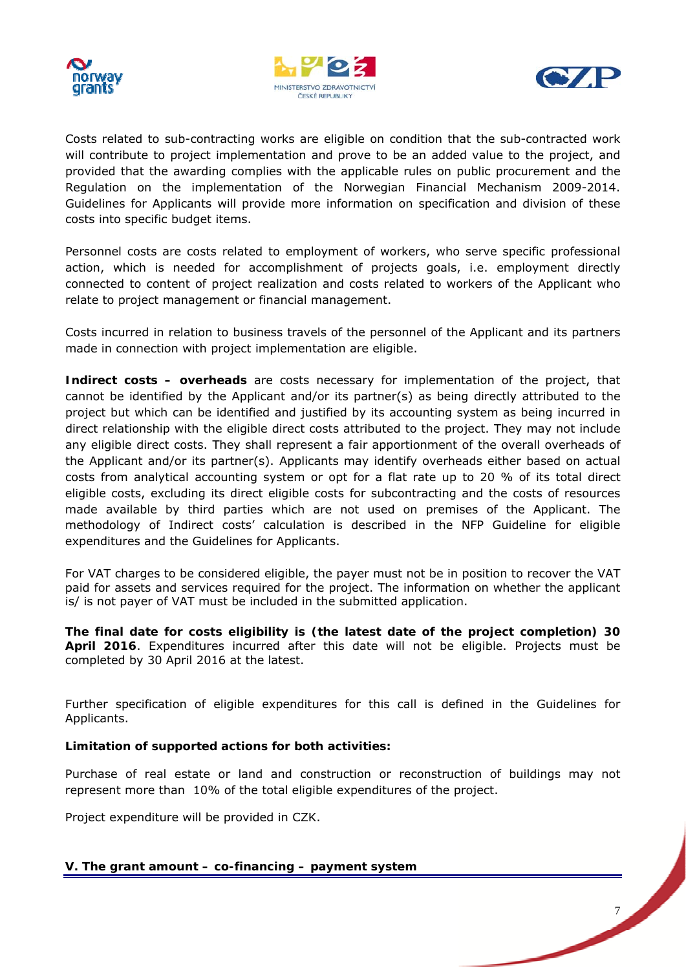





Costs related to sub-contracting works are eligible on condition that the sub-contracted work will contribute to project implementation and prove to be an added value to the project, and provided that the awarding complies with the applicable rules on public procurement and the Regulation on the implementation of the Norwegian Financial Mechanism 2009-2014. Guidelines for Applicants will provide more information on specification and division of these costs into specific budget items.

Personnel costs are costs related to employment of workers, who serve specific professional action, which is needed for accomplishment of projects goals, i.e. employment directly connected to content of project realization and costs related to workers of the Applicant who relate to project management or financial management.

Costs incurred in relation to business travels of the personnel of the Applicant and its partners made in connection with project implementation are eligible.

**Indirect costs – overheads** are costs necessary for implementation of the project, that cannot be identified by the Applicant and/or its partner(s) as being directly attributed to the project but which can be identified and justified by its accounting system as being incurred in direct relationship with the eligible direct costs attributed to the project. They may not include any eligible direct costs. They shall represent a fair apportionment of the overall overheads of the Applicant and/or its partner(s). Applicants may identify overheads either based on actual costs from analytical accounting system or opt for a flat rate up to 20 % of its total direct eligible costs, excluding its direct eligible costs for subcontracting and the costs of resources made available by third parties which are not used on premises of the Applicant. The methodology of Indirect costs' calculation is described in the NFP Guideline for eligible expenditures and the Guidelines for Applicants.

For VAT charges to be considered eligible, the payer must not be in position to recover the VAT paid for assets and services required for the project. The information on whether the applicant is/ is not payer of VAT must be included in the submitted application.

**The final date for costs eligibility is (the latest date of the project completion) 30 April 2016**. Expenditures incurred after this date will not be eligible. Projects must be completed by 30 April 2016 at the latest.

Further specification of eligible expenditures for this call is defined in the Guidelines for Applicants.

### **Limitation of supported actions for both activities:**

Purchase of real estate or land and construction or reconstruction of buildings may not represent more than 10% of the total eligible expenditures of the project.

Project expenditure will be provided in CZK.

**V. The grant amount – co-financing – payment system**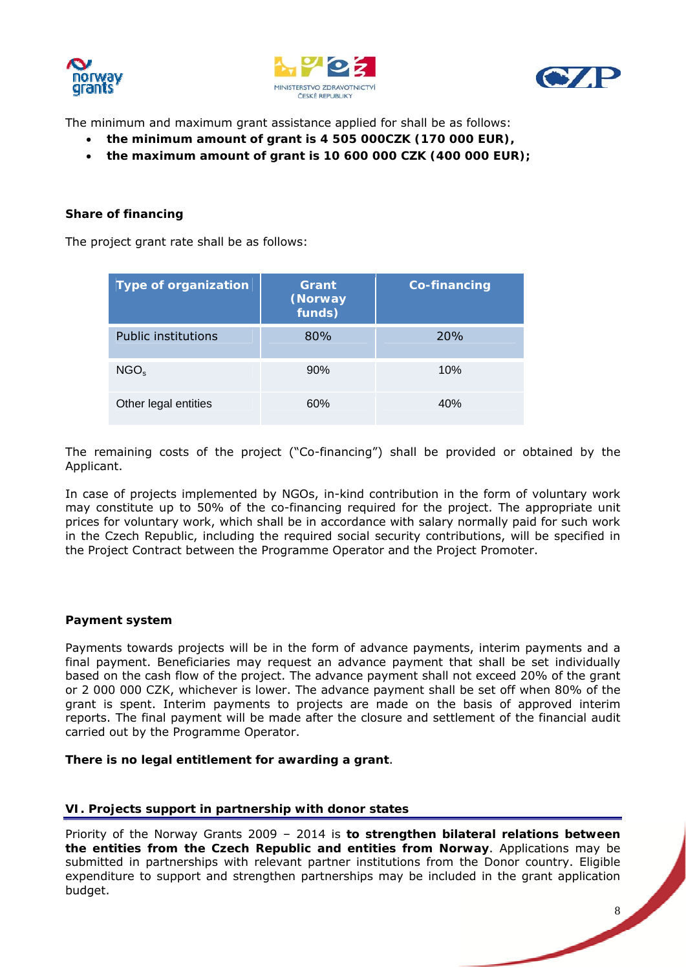





The minimum and maximum grant assistance applied for shall be as follows:

- **the minimum amount of grant is 4 505 000CZK (170 000 EUR),**
- **the maximum amount of grant is 10 600 000 CZK (400 000 EUR);**

### **Share of financing**

The project grant rate shall be as follows:

| <b>Type of organization</b> | Grant<br>(Norway<br>funds) | <b>Co-financing</b> |
|-----------------------------|----------------------------|---------------------|
| <b>Public institutions</b>  | 80%                        | 20%                 |
| NGO <sub>s</sub>            | 90%                        | 10%                 |
| Other legal entities        | 60%                        | 40%                 |

The remaining costs of the project ("Co-financing") shall be provided or obtained by the Applicant.

In case of projects implemented by NGOs, in-kind contribution in the form of voluntary work may constitute up to 50% of the co-financing required for the project. The appropriate unit prices for voluntary work, which shall be in accordance with salary normally paid for such work in the Czech Republic, including the required social security contributions, will be specified in the Project Contract between the Programme Operator and the Project Promoter.

### **Payment system**

Payments towards projects will be in the form of advance payments, interim payments and a final payment. Beneficiaries may request an advance payment that shall be set individually based on the cash flow of the project. The advance payment shall not exceed 20% of the grant or 2 000 000 CZK, whichever is lower. The advance payment shall be set off when 80% of the grant is spent. Interim payments to projects are made on the basis of approved interim reports. The final payment will be made after the closure and settlement of the financial audit carried out by the Programme Operator.

### **There is no legal entitlement for awarding a grant**.

### **VI. Projects support in partnership with donor states**

Priority of the Norway Grants 2009 – 2014 is **to strengthen bilateral relations between the entities from the Czech Republic and entities from Norway**. Applications may be submitted in partnerships with relevant partner institutions from the Donor country. Eligible expenditure to support and strengthen partnerships may be included in the grant application budget.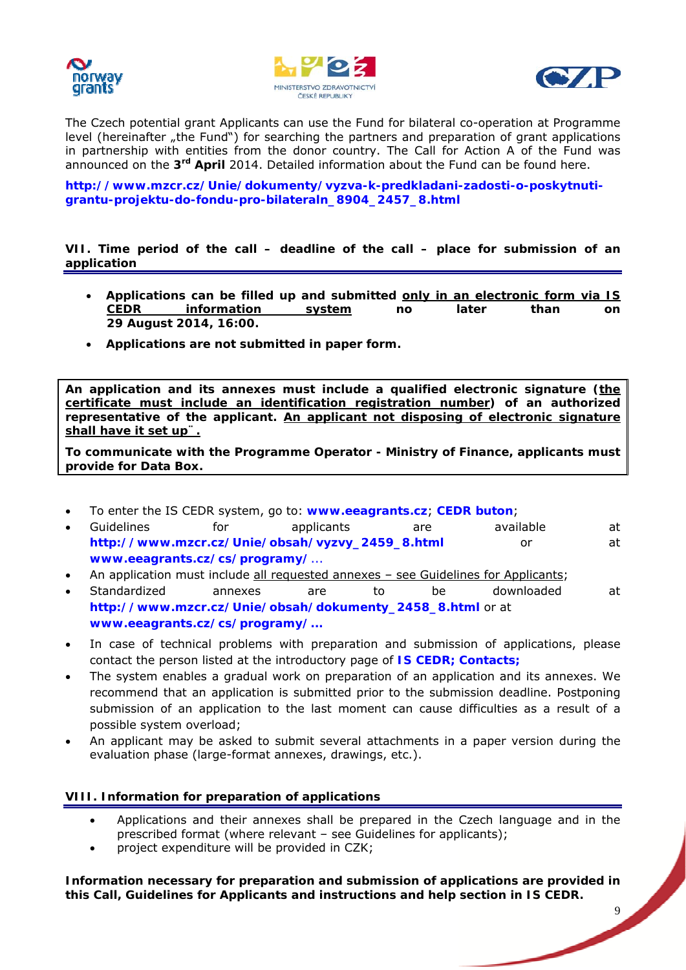





The Czech potential grant Applicants can use the Fund for bilateral co-operation at Programme level (hereinafter "the Fund") for searching the partners and preparation of grant applications in partnership with entities from the donor country. The Call for Action A of the Fund was announced on the **3rd April** 2014. Detailed information about the Fund can be found here.

**http://www.mzcr.cz/Unie/dokumenty/vyzva-k-predkladani-zadosti-o-poskytnutigrantu-projektu-do-fondu-pro-bilateraln\_8904\_2457\_8.html** 

**[VII. Time period of the call – deadline of the call – place for submission of](http://www.mzcr.cz/Unie/dokumenty/vyzva-k-predkladani-zadosti-o-poskytnuti-grantu-projektu-do-fondu-pro-bilateraln_8904_2457_8.html) an application** 

- **Applications can be filled up and submitted only in an electronic form via IS CEDR information system no later than on 29 August 2014, 16:00.**
- **Applications are not submitted in paper form.**

**An application and its annexes must include a qualified electronic signature (the certificate must include an identification registration number) of an authorized representative of the applicant. An applicant not disposing of electronic signature shall have it set up¨.**

**To communicate with the Programme Operator - Ministry of Finance, applicants must provide for Data Box.** 

- To enter the IS CEDR system, go to: **www.eeagrants.cz**; **CEDR buton**;
- Guidelines for applicants are available at **http://www.mzcr.cz/Unie/obsah/vyzvy\_2459\_8.html** or at **www.eeagrants.cz/cs/programy/**...
- An application must include all reque[sted annexes see G](http://www.eeagrants.cz/)uidelines for Applicants;
- Standardized annexes are to be downloaded at **[http://www.mzcr.cz/Unie/obsah/dokumenty\\_2458\\_8](http://www.mzcr.cz/Unie/obsah/vyzvy_2459_8.html).html** or at **[www.eeagrants.cz/cs/programy/.](http://www.eeagrants.cz/cs/programy/)..**
- In case of technical problems with preparation and submission of applications, please [contact the person listed at the introductory page of](http://www.mzcr.cz/Unie/obsah/dokumenty_2458_8.html) **IS CEDR; Contacts;**
- [The system enables a gradual work o](http://www.eeagrants.cz/cs/programy/)n preparation of an application and its annexes. We recommend that an application is submitted prior to the submission deadline. Postponing submission of an application to the last moment can cause difficulties as a result of a possible system overload;
- An applicant may be asked to submit several attachments in a paper version during the evaluation phase (large-format annexes, drawings, etc.).

### **VIII. Information for preparation of applications**

- Applications and their annexes shall be prepared in the Czech language and in the prescribed format (where relevant – see Guidelines for applicants);
- project expenditure will be provided in CZK;

**Information necessary for preparation and submission of applications are provided in this Call, Guidelines for Applicants and instructions and help section in IS CEDR.**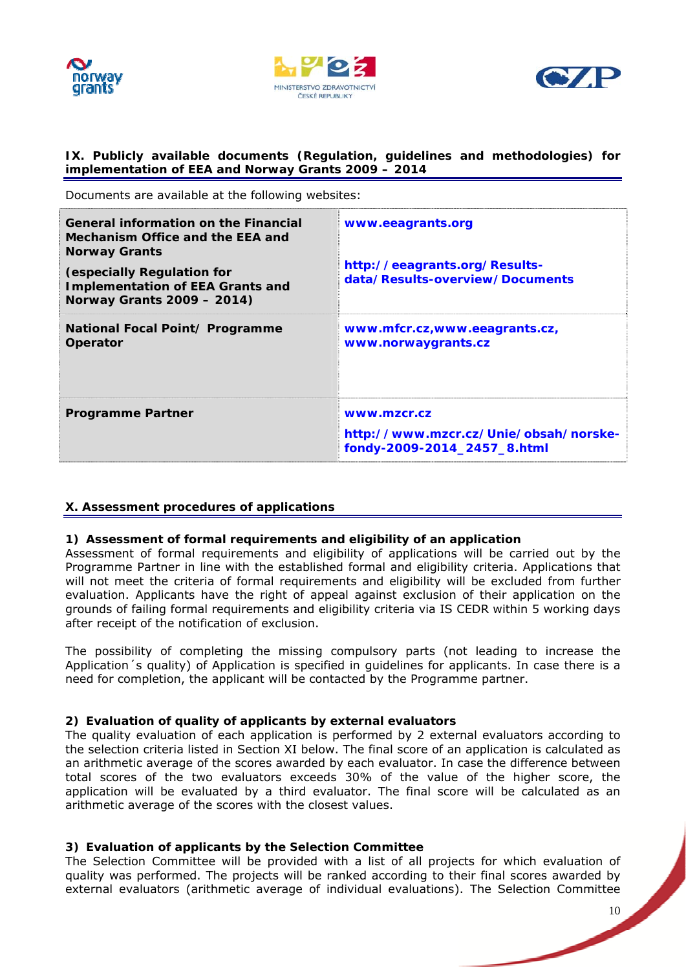





### **IX. Publicly available documents (Regulation, guidelines and methodologies) for implementation of EEA and Norway Grants 2009 – 2014**

Documents are available at the following websites:

| General information on the Financial<br>Mechanism Office and the EEA and<br><b>Norway Grants</b><br>(especially Regulation for<br><b>Implementation of EEA Grants and</b> | www.eeagrants.org<br>http://eeagrants.org/Results-<br>data/Results-overview/Documents |
|---------------------------------------------------------------------------------------------------------------------------------------------------------------------------|---------------------------------------------------------------------------------------|
| Norway Grants 2009 - 2014)<br>National Focal Point/ Programme<br>Operator                                                                                                 | www.mfcr.cz,www.eeagrants.cz,<br>www.norwaygrants.cz                                  |
| <b>Programme Partner</b>                                                                                                                                                  | www.mzcr.cz<br>http://www.mzcr.cz/Unie/obsah/norske-<br>fondy-2009-2014_2457_8.html   |

### **X. Assessment procedures of applications**

### **1) Assessment of formal requirements and eligibility of an application**

Assessment of formal requirements and eligibility of applications will be carried out by the Programme Partner in line with the established formal and eligibility criteria. Applications that will not meet the criteria of formal requirements and eligibility will be excluded from further evaluation. Applicants have the right of appeal against exclusion of their application on the grounds of failing formal requirements and eligibility criteria via IS CEDR within 5 working days after receipt of the notification of exclusion.

The possibility of completing the missing compulsory parts (not leading to increase the Application´s quality) of Application is specified in guidelines for applicants. In case there is a need for completion, the applicant will be contacted by the Programme partner.

### **2) Evaluation of quality of applicants by external evaluators**

The quality evaluation of each application is performed by 2 external evaluators according to the selection criteria listed in Section XI below. The final score of an application is calculated as an arithmetic average of the scores awarded by each evaluator. In case the difference between total scores of the two evaluators exceeds 30% of the value of the higher score, the application will be evaluated by a third evaluator. The final score will be calculated as an arithmetic average of the scores with the closest values.

### **3) Evaluation of applicants by the Selection Committee**

The Selection Committee will be provided with a list of all projects for which evaluation of quality was performed. The projects will be ranked according to their final scores awarded by external evaluators (arithmetic average of individual evaluations). The Selection Committee

10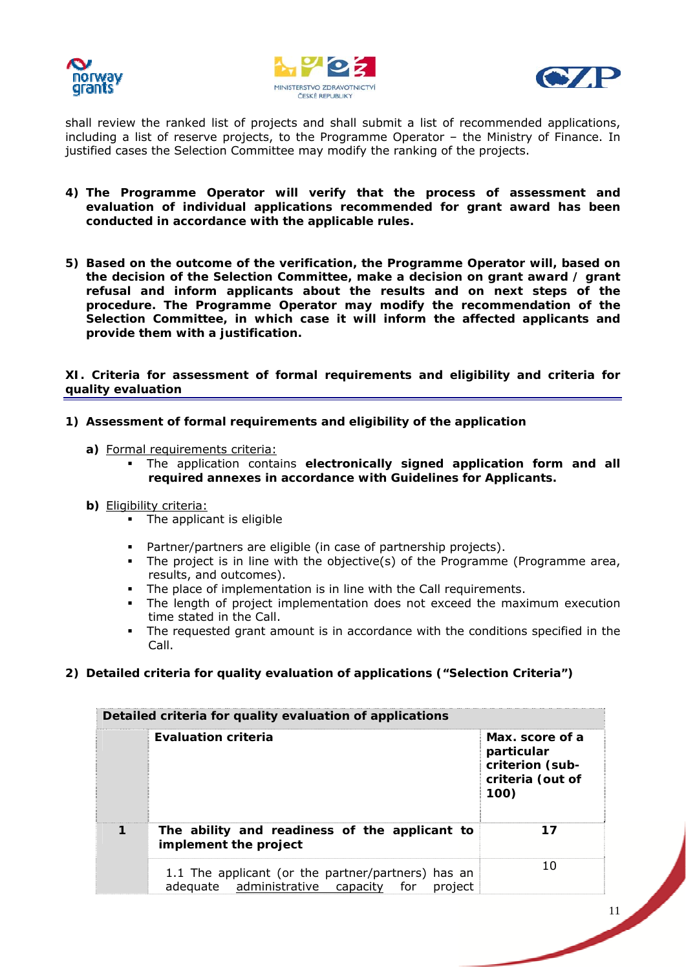





shall review the ranked list of projects and shall submit a list of recommended applications, including a list of reserve projects, to the Programme Operator – the Ministry of Finance. In justified cases the Selection Committee may modify the ranking of the projects.

- **4) The Programme Operator will verify that the process of assessment and evaluation of individual applications recommended for grant award has been conducted in accordance with the applicable rules.**
- **5) Based on the outcome of the verification, the Programme Operator will, based on the decision of the Selection Committee, make a decision on grant award / grant refusal and inform applicants about the results and on next steps of the procedure. The Programme Operator may modify the recommendation of the Selection Committee, in which case it will inform the affected applicants and provide them with a justification.**

**XI. Criteria for assessment of formal requirements and eligibility and criteria for quality evaluation** 

- **1) Assessment of formal requirements and eligibility of the application** 
	- **a)** Formal requirements criteria:
		- The application contains **electronically signed application form and all required annexes in accordance with Guidelines for Applicants.**
	- **b)** Eligibility criteria:
		- The applicant is eligible
		- Partner/partners are eligible (in case of partnership projects).
		- The project is in line with the objective(s) of the Programme (Programme area, results, and outcomes).
		- The place of implementation is in line with the Call requirements.
		- The length of project implementation does not exceed the maximum execution time stated in the Call.
		- The requested grant amount is in accordance with the conditions specified in the Call.
- **2) Detailed criteria for quality evaluation of applications ("Selection Criteria")**

| Detailed criteria for quality evaluation of applications |                                                                                                          |                                                                              |
|----------------------------------------------------------|----------------------------------------------------------------------------------------------------------|------------------------------------------------------------------------------|
|                                                          | <b>Evaluation criteria</b>                                                                               | Max, score of a<br>particular<br>criterion (sub-<br>criteria (out of<br>100) |
|                                                          | The ability and readiness of the applicant to<br>implement the project                                   | 17                                                                           |
|                                                          | 1.1 The applicant (or the partner/partners) has an<br>adequate administrative capacity<br>for<br>project | 10                                                                           |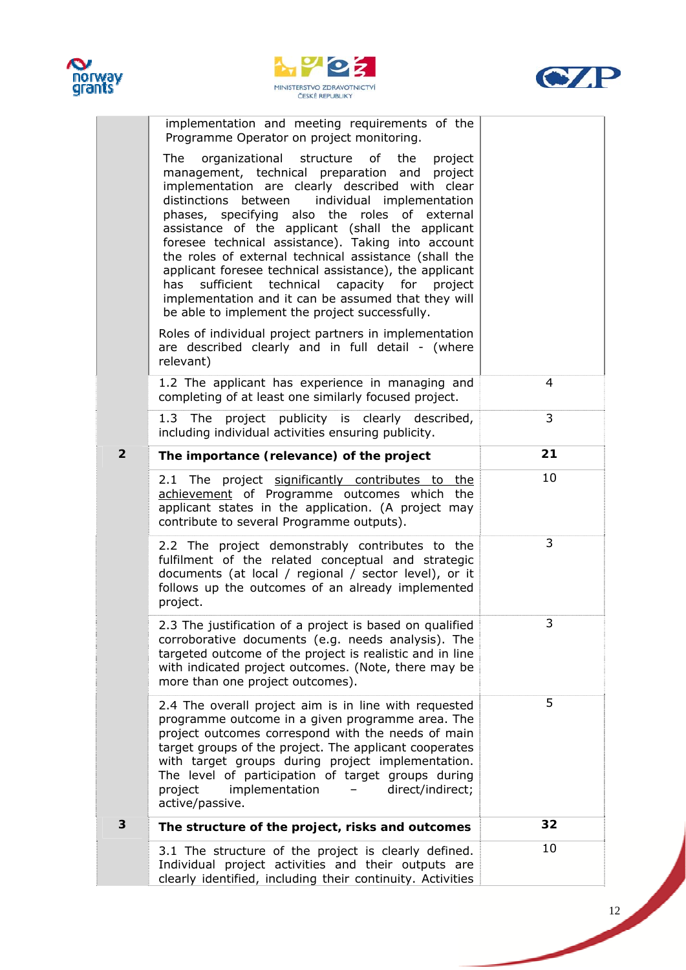





|  |                | implementation and meeting requirements of the<br>Programme Operator on project monitoring.                                                                                                                                                                                                                                                                                                                                                                                                                                                                                                                                                           |    |
|--|----------------|-------------------------------------------------------------------------------------------------------------------------------------------------------------------------------------------------------------------------------------------------------------------------------------------------------------------------------------------------------------------------------------------------------------------------------------------------------------------------------------------------------------------------------------------------------------------------------------------------------------------------------------------------------|----|
|  |                | organizational structure of the<br>The<br>project<br>management, technical preparation and project<br>implementation are clearly described with clear<br>distinctions between individual implementation<br>phases, specifying also the roles of external<br>assistance of the applicant (shall the applicant<br>foresee technical assistance). Taking into account<br>the roles of external technical assistance (shall the<br>applicant foresee technical assistance), the applicant<br>sufficient technical capacity for<br>has<br>project<br>implementation and it can be assumed that they will<br>be able to implement the project successfully. |    |
|  |                | Roles of individual project partners in implementation<br>are described clearly and in full detail - (where<br>relevant)                                                                                                                                                                                                                                                                                                                                                                                                                                                                                                                              |    |
|  |                | 1.2 The applicant has experience in managing and<br>completing of at least one similarly focused project.                                                                                                                                                                                                                                                                                                                                                                                                                                                                                                                                             | 4  |
|  |                | 1.3 The project publicity is clearly described,<br>including individual activities ensuring publicity.                                                                                                                                                                                                                                                                                                                                                                                                                                                                                                                                                | 3  |
|  | $\overline{2}$ | The importance (relevance) of the project                                                                                                                                                                                                                                                                                                                                                                                                                                                                                                                                                                                                             | 21 |
|  |                | 2.1 The project significantly contributes to the<br>achievement of Programme outcomes which the<br>applicant states in the application. (A project may<br>contribute to several Programme outputs).                                                                                                                                                                                                                                                                                                                                                                                                                                                   | 10 |
|  |                | 2.2 The project demonstrably contributes to the<br>fulfilment of the related conceptual and strategic<br>documents (at local / regional / sector level), or it<br>follows up the outcomes of an already implemented<br>project.                                                                                                                                                                                                                                                                                                                                                                                                                       | 3  |
|  |                | 2.3 The justification of a project is based on qualified<br>corroborative documents (e.g. needs analysis). The<br>targeted outcome of the project is realistic and in line<br>with indicated project outcomes. (Note, there may be<br>more than one project outcomes).                                                                                                                                                                                                                                                                                                                                                                                | 3  |
|  |                | 2.4 The overall project aim is in line with requested<br>programme outcome in a given programme area. The<br>project outcomes correspond with the needs of main<br>target groups of the project. The applicant cooperates<br>with target groups during project implementation.<br>The level of participation of target groups during<br>implementation<br>direct/indirect;<br>project<br>active/passive.                                                                                                                                                                                                                                              | 5  |
|  | 3              | The structure of the project, risks and outcomes                                                                                                                                                                                                                                                                                                                                                                                                                                                                                                                                                                                                      | 32 |
|  |                | 3.1 The structure of the project is clearly defined.<br>Individual project activities and their outputs are<br>clearly identified, including their continuity. Activities                                                                                                                                                                                                                                                                                                                                                                                                                                                                             | 10 |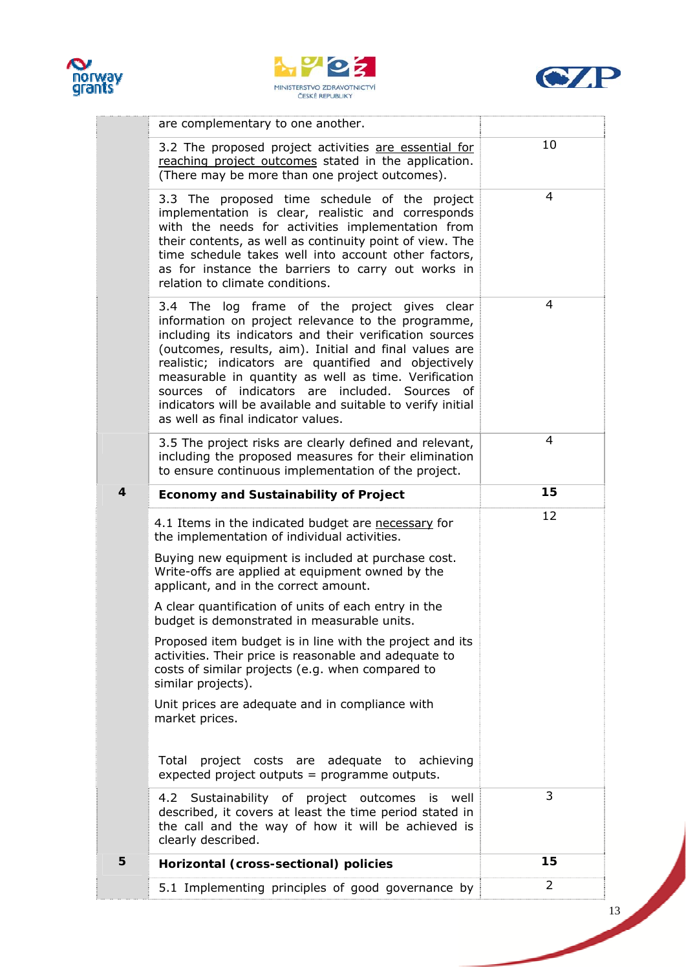





|                         | are complementary to one another.                                                                                                                                                                                                                                                                                                                                                                                                                                                                                                                                                                                                 |    |
|-------------------------|-----------------------------------------------------------------------------------------------------------------------------------------------------------------------------------------------------------------------------------------------------------------------------------------------------------------------------------------------------------------------------------------------------------------------------------------------------------------------------------------------------------------------------------------------------------------------------------------------------------------------------------|----|
|                         | 3.2 The proposed project activities are essential for<br>reaching project outcomes stated in the application.<br>(There may be more than one project outcomes).                                                                                                                                                                                                                                                                                                                                                                                                                                                                   | 10 |
|                         | 3.3 The proposed time schedule of the project<br>implementation is clear, realistic and corresponds<br>with the needs for activities implementation from<br>their contents, as well as continuity point of view. The<br>time schedule takes well into account other factors,<br>as for instance the barriers to carry out works in<br>relation to climate conditions.                                                                                                                                                                                                                                                             | 4  |
|                         | 3.4 The log frame of the project gives clear<br>information on project relevance to the programme,<br>including its indicators and their verification sources<br>(outcomes, results, aim). Initial and final values are<br>realistic; indicators are quantified and objectively<br>measurable in quantity as well as time. Verification<br>sources of indicators are included. Sources of<br>indicators will be available and suitable to verify initial<br>as well as final indicator values.                                                                                                                                    | 4  |
|                         | 3.5 The project risks are clearly defined and relevant,<br>including the proposed measures for their elimination<br>to ensure continuous implementation of the project.                                                                                                                                                                                                                                                                                                                                                                                                                                                           | 4  |
| $\overline{\mathbf{4}}$ | <b>Economy and Sustainability of Project</b>                                                                                                                                                                                                                                                                                                                                                                                                                                                                                                                                                                                      | 15 |
|                         |                                                                                                                                                                                                                                                                                                                                                                                                                                                                                                                                                                                                                                   |    |
|                         | 4.1 Items in the indicated budget are necessary for<br>the implementation of individual activities.<br>Buying new equipment is included at purchase cost.<br>Write-offs are applied at equipment owned by the<br>applicant, and in the correct amount.<br>A clear quantification of units of each entry in the<br>budget is demonstrated in measurable units.<br>Proposed item budget is in line with the project and its<br>activities. Their price is reasonable and adequate to<br>costs of similar projects (e.g. when compared to<br>similar projects).<br>Unit prices are adequate and in compliance with<br>market prices. | 12 |
|                         | project costs are adequate to achieving<br>Total<br>expected project outputs = programme outputs.                                                                                                                                                                                                                                                                                                                                                                                                                                                                                                                                 |    |
|                         | 4.2 Sustainability of project outcomes<br>well<br><b>is</b><br>described, it covers at least the time period stated in<br>the call and the way of how it will be achieved is<br>clearly described.                                                                                                                                                                                                                                                                                                                                                                                                                                | 3  |
| 5                       | Horizontal (cross-sectional) policies                                                                                                                                                                                                                                                                                                                                                                                                                                                                                                                                                                                             | 15 |

**September 1986**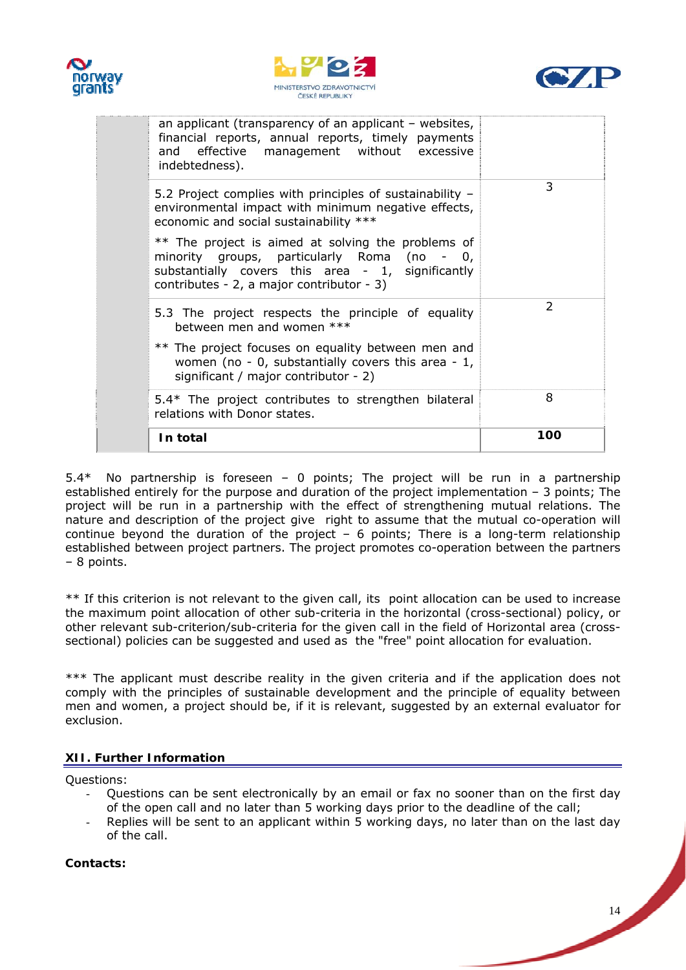





| an applicant (transparency of an applicant – websites,<br>financial reports, annual reports, timely payments<br>and effective management without excessive<br>indebtedness).                        |               |
|-----------------------------------------------------------------------------------------------------------------------------------------------------------------------------------------------------|---------------|
| 5.2 Project complies with principles of sustainability -<br>environmental impact with minimum negative effects,<br>economic and social sustainability ***                                           | 3             |
| ** The project is aimed at solving the problems of<br>minority groups, particularly Roma (no - 0,<br>substantially covers this area - 1, significantly<br>contributes - 2, a major contributor - 3) |               |
| 5.3 The project respects the principle of equality<br>between men and women ***                                                                                                                     | $\mathcal{P}$ |
| ** The project focuses on equality between men and<br>women (no - 0, substantially covers this area - 1,<br>significant / major contributor - 2)                                                    |               |
| 5.4* The project contributes to strengthen bilateral<br>relations with Donor states.                                                                                                                | 8             |
| In total                                                                                                                                                                                            | 100           |

5.4\* No partnership is foreseen – 0 points; The project will be run in a partnership established entirely for the purpose and duration of the project implementation – 3 points; The project will be run in a partnership with the effect of strengthening mutual relations. The nature and description of the project give right to assume that the mutual co-operation will continue beyond the duration of the project  $-6$  points; There is a long-term relationship established between project partners. The project promotes co-operation between the partners – 8 points.

\*\* If this criterion is not relevant to the given call, its point allocation can be used to increase the maximum point allocation of other sub-criteria in the horizontal (cross-sectional) policy, or other relevant sub-criterion/sub-criteria for the given call in the field of Horizontal area (crosssectional) policies can be suggested and used as the "free" point allocation for evaluation.

\*\*\* The applicant must describe reality in the given criteria and if the application does not comply with the principles of sustainable development and the principle of equality between men and women, a project should be, if it is relevant, suggested by an external evaluator for exclusion.

### **XII. Further Information**

Questions:

- Questions can be sent electronically by an email or fax no sooner than on the first day of the open call and no later than 5 working days prior to the deadline of the call;
- Replies will be sent to an applicant within 5 working days, no later than on the last day of the call.

**Contacts:**